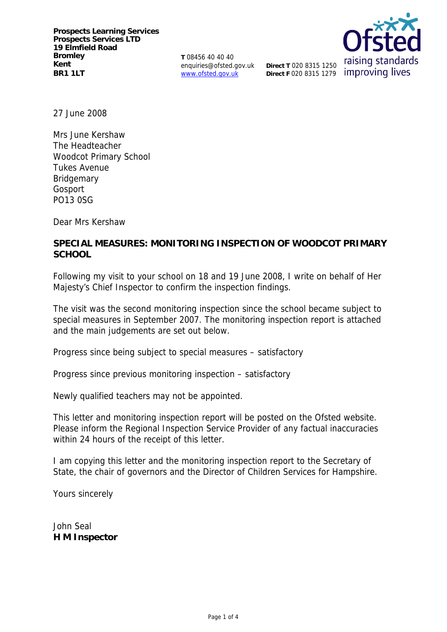**T** 08456 40 40 40 enquiries@ofsted.gov.uk www.ofsted.gov.uk



27 June 2008

Mrs June Kershaw The Headteacher Woodcot Primary School Tukes Avenue **Bridgemary** Gosport PO13 0SG

Dear Mrs Kershaw

# **SPECIAL MEASURES: MONITORING INSPECTION OF WOODCOT PRIMARY SCHOOL**

Following my visit to your school on 18 and 19 June 2008, I write on behalf of Her Majesty's Chief Inspector to confirm the inspection findings.

The visit was the second monitoring inspection since the school became subject to special measures in September 2007. The monitoring inspection report is attached and the main judgements are set out below.

Progress since being subject to special measures – satisfactory

Progress since previous monitoring inspection – satisfactory

Newly qualified teachers may not be appointed.

This letter and monitoring inspection report will be posted on the Ofsted website. Please inform the Regional Inspection Service Provider of any factual inaccuracies within 24 hours of the receipt of this letter.

I am copying this letter and the monitoring inspection report to the Secretary of State, the chair of governors and the Director of Children Services for Hampshire.

Yours sincerely

John Seal **H M Inspector**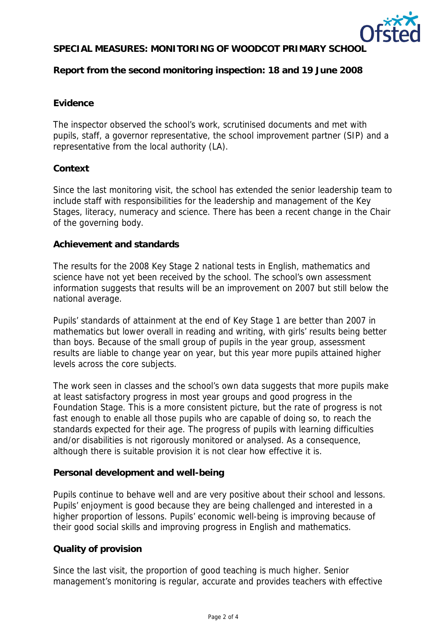

# **SPECIAL MEASURES: MONITORING OF WOODCOT PRIMARY SCHOOL**

**Report from the second monitoring inspection: 18 and 19 June 2008**

# **Evidence**

The inspector observed the school's work, scrutinised documents and met with pupils, staff, a governor representative, the school improvement partner (SIP) and a representative from the local authority (LA).

## **Context**

Since the last monitoring visit, the school has extended the senior leadership team to include staff with responsibilities for the leadership and management of the Key Stages, literacy, numeracy and science. There has been a recent change in the Chair of the governing body.

## **Achievement and standards**

The results for the 2008 Key Stage 2 national tests in English, mathematics and science have not yet been received by the school. The school's own assessment information suggests that results will be an improvement on 2007 but still below the national average.

Pupils' standards of attainment at the end of Key Stage 1 are better than 2007 in mathematics but lower overall in reading and writing, with girls' results being better than boys. Because of the small group of pupils in the year group, assessment results are liable to change year on year, but this year more pupils attained higher levels across the core subjects.

The work seen in classes and the school's own data suggests that more pupils make at least satisfactory progress in most year groups and good progress in the Foundation Stage. This is a more consistent picture, but the rate of progress is not fast enough to enable all those pupils who are capable of doing so, to reach the standards expected for their age. The progress of pupils with learning difficulties and/or disabilities is not rigorously monitored or analysed. As a consequence, although there is suitable provision it is not clear how effective it is.

#### **Personal development and well-being**

Pupils continue to behave well and are very positive about their school and lessons. Pupils' enjoyment is good because they are being challenged and interested in a higher proportion of lessons. Pupils' economic well-being is improving because of their good social skills and improving progress in English and mathematics.

# **Quality of provision**

Since the last visit, the proportion of good teaching is much higher. Senior management's monitoring is regular, accurate and provides teachers with effective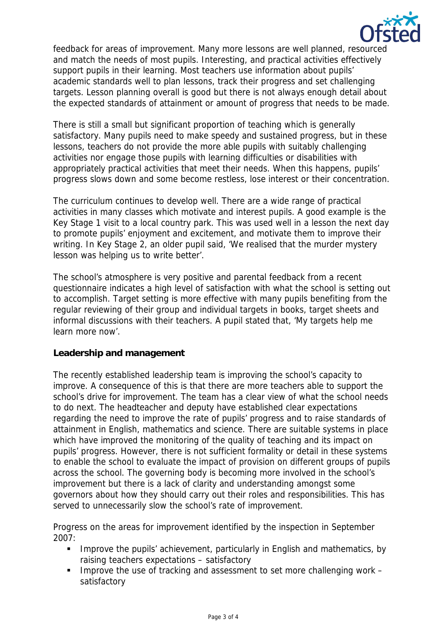

feedback for areas of improvement. Many more lessons are well planned, resourced and match the needs of most pupils. Interesting, and practical activities effectively support pupils in their learning. Most teachers use information about pupils' academic standards well to plan lessons, track their progress and set challenging targets. Lesson planning overall is good but there is not always enough detail about the expected standards of attainment or amount of progress that needs to be made.

There is still a small but significant proportion of teaching which is generally satisfactory. Many pupils need to make speedy and sustained progress, but in these lessons, teachers do not provide the more able pupils with suitably challenging activities nor engage those pupils with learning difficulties or disabilities with appropriately practical activities that meet their needs. When this happens, pupils' progress slows down and some become restless, lose interest or their concentration.

The curriculum continues to develop well. There are a wide range of practical activities in many classes which motivate and interest pupils. A good example is the Key Stage 1 visit to a local country park. This was used well in a lesson the next day to promote pupils' enjoyment and excitement, and motivate them to improve their writing. In Key Stage 2, an older pupil said, 'We realised that the murder mystery lesson was helping us to write better'.

The school's atmosphere is very positive and parental feedback from a recent questionnaire indicates a high level of satisfaction with what the school is setting out to accomplish. Target setting is more effective with many pupils benefiting from the regular reviewing of their group and individual targets in books, target sheets and informal discussions with their teachers. A pupil stated that, 'My targets help me learn more now'.

#### **Leadership and management**

The recently established leadership team is improving the school's capacity to improve. A consequence of this is that there are more teachers able to support the school's drive for improvement. The team has a clear view of what the school needs to do next. The headteacher and deputy have established clear expectations regarding the need to improve the rate of pupils' progress and to raise standards of attainment in English, mathematics and science. There are suitable systems in place which have improved the monitoring of the quality of teaching and its impact on pupils' progress. However, there is not sufficient formality or detail in these systems to enable the school to evaluate the impact of provision on different groups of pupils across the school. The governing body is becoming more involved in the school's improvement but there is a lack of clarity and understanding amongst some governors about how they should carry out their roles and responsibilities. This has served to unnecessarily slow the school's rate of improvement.

Progress on the areas for improvement identified by the inspection in September 2007:

- **IMPROVE THE PUPILE ACTE CONCOCO EXAMPLE 11 IMPROVE THE PUPILE INC.** The pupils' achievement, particularly in English and mathematics, by raising teachers expectations – satisfactory
- Improve the use of tracking and assessment to set more challenging work satisfactory